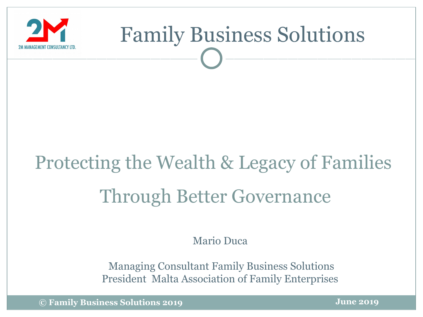

### Protecting the Wealth & Legacy of Families Through Better Governance

Mario Duca

Managing Consultant Family Business Solutions President Malta Association of Family Enterprises

**© Family Business Solutions 2019**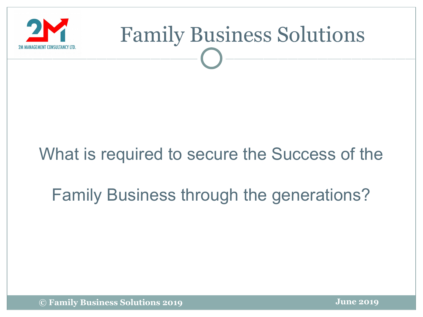

#### What is required to secure the Success of the

#### Family Business through the generations?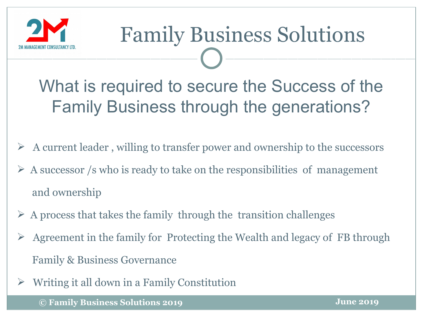

What is required to secure the Success of the Family Business through the generations?

- $\triangleright$  A current leader, willing to transfer power and ownership to the successors
- $\triangleright$  A successor /s who is ready to take on the responsibilities of management and ownership
- $\triangleright$  A process that takes the family through the transition challenges
- Agreement in the family for Protecting the Wealth and legacy of FB through Family & Business Governance
- $\triangleright$  Writing it all down in a Family Constitution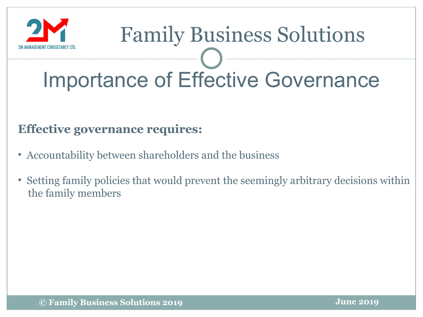

### Family Business Solutions Importance of Effective Governance

#### **Effective governance requires:**

- Accountability between shareholders and the business
- Setting family policies that would prevent the seemingly arbitrary decisions within the family members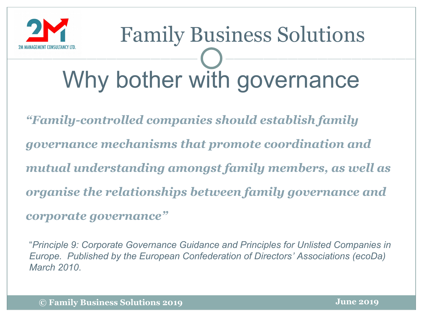

## Family Business Solutions Why bother with governance

*"Family-controlled companies should establish family governance mechanisms that promote coordination and mutual understanding amongst family members, as well as organise the relationships between family governance and corporate governance"*

"*Principle 9: Corporate Governance Guidance and Principles for Unlisted Companies in Europe. Published by the European Confederation of Directors' Associations (ecoDa) March 2010*.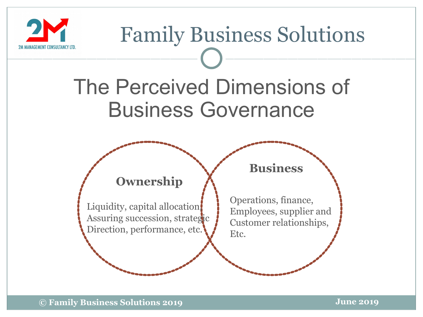

#### The Perceived Dimensions of Business Governance



Liquidity, capital allocation, Assuring succession, strategic Direction, performance, etc.

#### **Business**

Operations, finance, Employees, supplier and Customer relationships, Etc.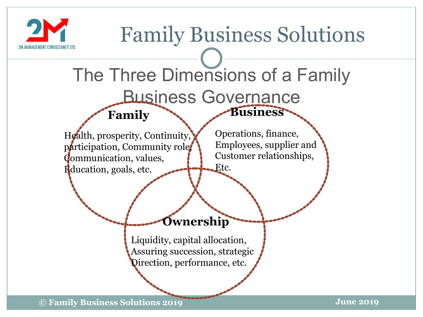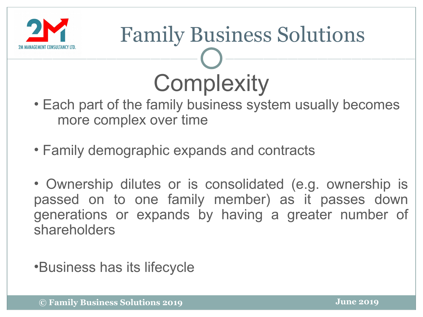

## Family Business Solutions **Complexity**

- Each part of the family business system usually becomes more complex over time
- Family demographic expands and contracts
- Ownership dilutes or is consolidated (e.g. ownership is passed on to one family member) as it passes down generations or expands by having a greater number of shareholders

•Business has its lifecycle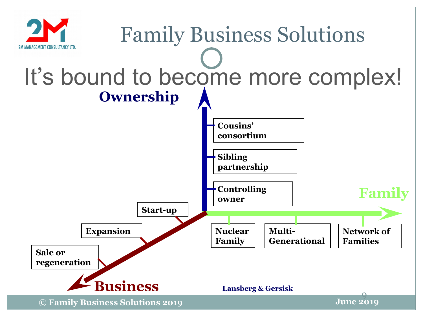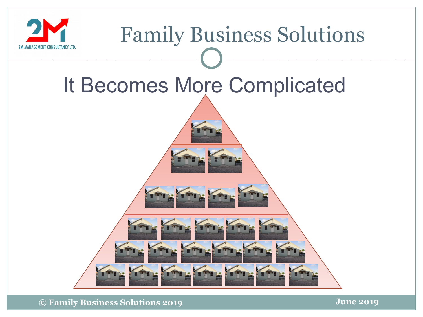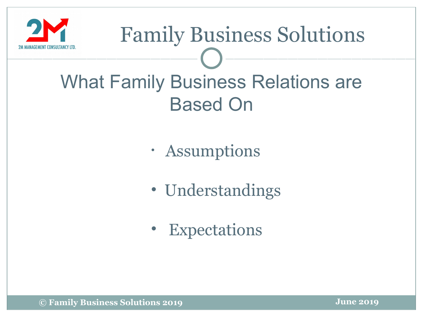

#### What Family Business Relations are Based On

- Assumptions
- Understandings
- Expectations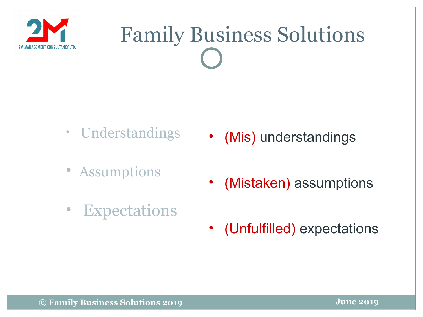

- Understandings
- **Assumptions**
- (Mis) understandings
- (Mistaken) assumptions
- Expectations
- (Unfulfilled) expectations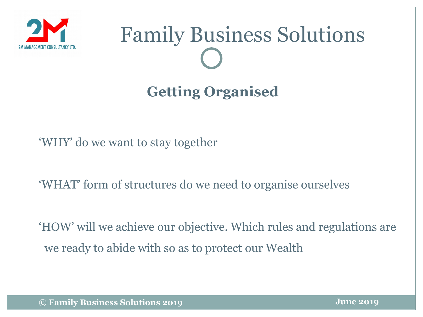

#### **Getting Organised**

'WHY' do we want to stay together

'WHAT' form of structures do we need to organise ourselves

'HOW' will we achieve our objective. Which rules and regulations are we ready to abide with so as to protect our Wealth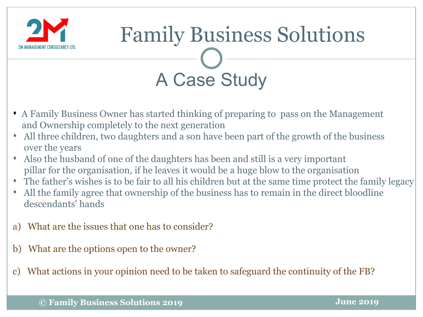



- A Family Business Owner has started thinking of preparing to pass on the Management and Ownership completely to the next generation
- All three children, two daughters and a son have been part of the growth of the business over the years
- Also the husband of one of the daughters has been and still is a very important pillar for the organisation, if he leaves it would be a huge blow to the organisation
- The father's wishes is to be fair to all his children but at the same time protect the family legacy
- All the family agree that ownership of the business has to remain in the direct bloodline descendants' hands
- a) What are the issues that one has to consider?
- b) What are the options open to the owner?
- What actions in your opinion need to be taken to safeguard the continuity of the FB?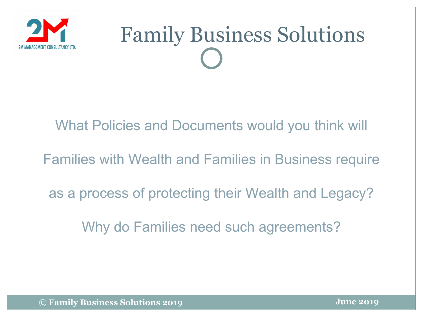

#### What Policies and Documents would you think will

Families with Wealth and Families in Business require

as a process of protecting their Wealth and Legacy?

Why do Families need such agreements?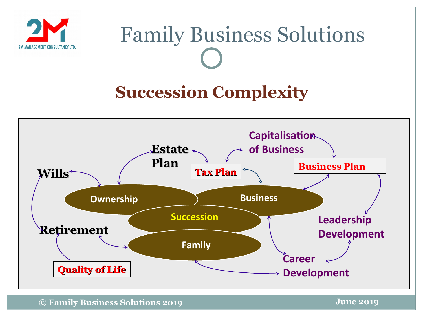

#### **Succession Complexity**



**© Family Business Solutions 2019**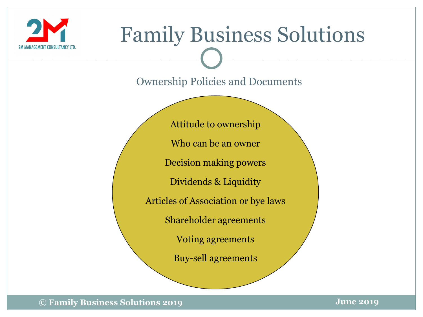

Ownership Policies and Documents

Attitude to ownership Who can be an owner Decision making powers Dividends & Liquidity Articles of Association or bye laws Shareholder agreements Voting agreements Buy-sell agreements

**© Family Business Solutions 2019**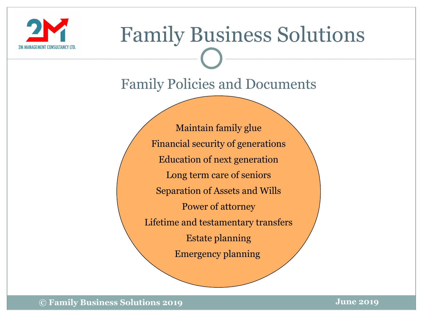

#### Family Policies and Documents

Maintain family glue Financial security of generations Education of next generation Long term care of seniors Separation of Assets and Wills Power of attorney Lifetime and testamentary transfers Estate planning Emergency planning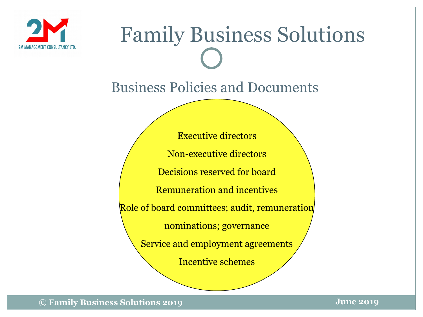

#### Business Policies and Documents

Executive directors Non-executive directors Decisions reserved for board Remuneration and incentives Role of board committees; audit, remuneration nominations; governance Service and employment agreements Incentive schemes

**© Family Business Solutions 2019**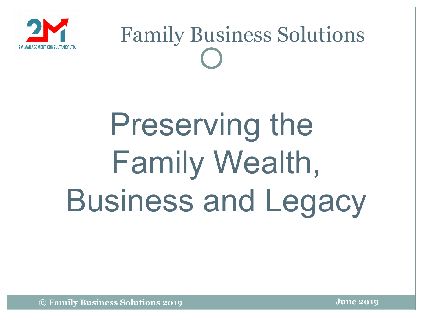

## Preserving the Family Wealth, Business and Legacy

**© Family Business Solutions 2019**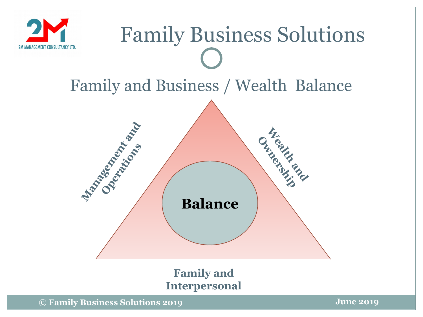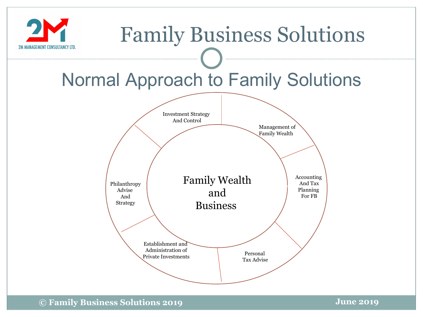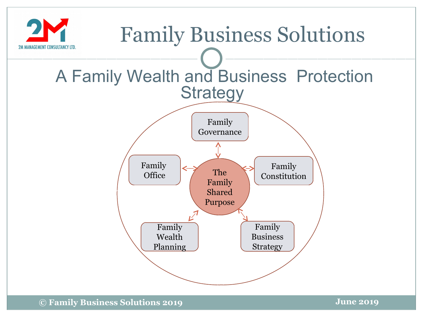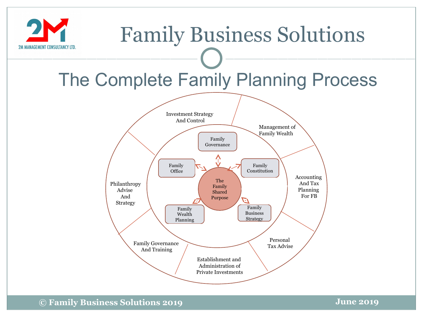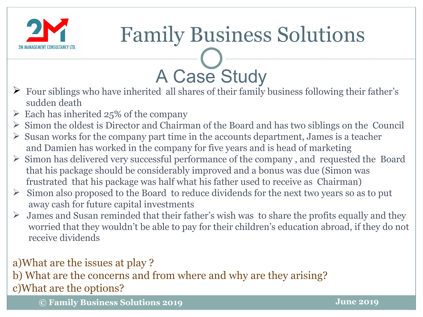

### A Case Study

- $\triangleright$  Four siblings who have inherited all shares of their family business following their father's sudden death
- $\geq$  Each has inherited 25% of the company
- $\triangleright$  Simon the oldest is Director and Chairman of the Board and has two siblings on the Council
- $\triangleright$  Susan works for the company part time in the accounts department, James is a teacher and Damien has worked in the company for five years and is head of marketing
- $\triangleright$  Simon has delivered very successful performance of the company, and requested the Board that his package should be considerably improved and a bonus was due (Simon was frustrated that his package was half what his father used to receive as Chairman)
- $\triangleright$  Simon also proposed to the Board to reduce dividends for the next two years so as to put away cash for future capital investments
- $\triangleright$  James and Susan reminded that their father's wish was to share the profits equally and they worried that they wouldn't be able to pay for their children's education abroad, if they do not receive dividends

a)What are the issues at play ?

b) What are the concerns and from where and why are they arising? c)What are the options?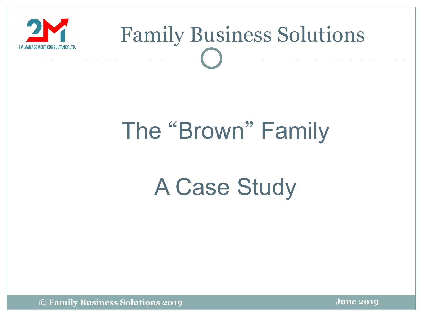

### The "Brown" Family

### A Case Study

**© Family Business Solutions 2019**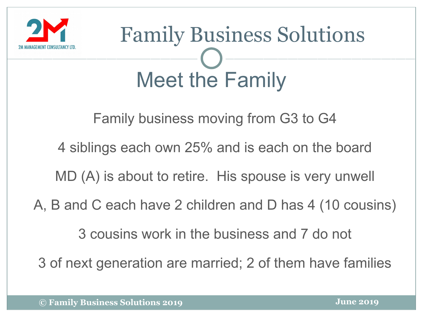

## Meet the Family Family Business Solutions

Family business moving from G3 to G4

4 siblings each own 25% and is each on the board

MD (A) is about to retire. His spouse is very unwell

A, B and C each have 2 children and D has 4 (10 cousins)

3 cousins work in the business and 7 do not

3 of next generation are married; 2 of them have families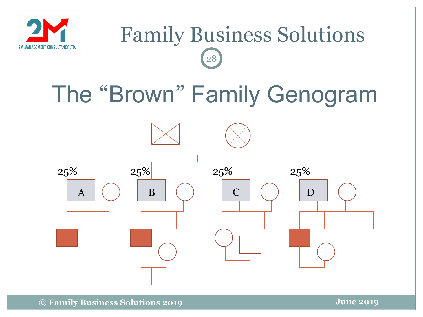

### The "Brown" Family Genogram

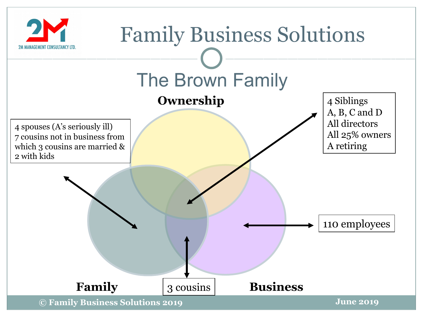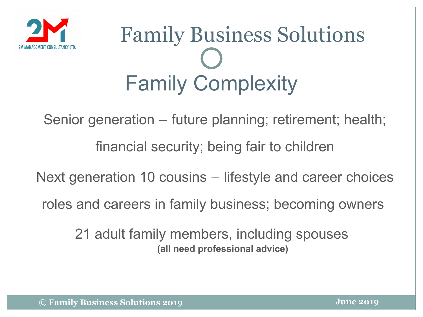

## Family Complexity Family Business Solutions

Senior generation – future planning; retirement; health;

financial security; being fair to children

Next generation 10 cousins – lifestyle and career choices

roles and careers in family business; becoming owners

21 adult family members, including spouses  **(all need professional advice)**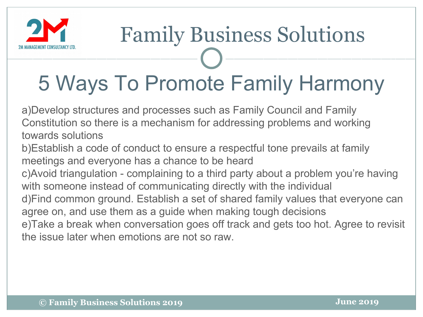

### 5 Ways To Promote Family Harmony

a)Develop structures and processes such as Family Council and Family Constitution so there is a mechanism for addressing problems and working towards solutions

- b)Establish a code of conduct to ensure a respectful tone prevails at family meetings and everyone has a chance to be heard
- c)Avoid triangulation complaining to a third party about a problem you're having with someone instead of communicating directly with the individual
- d)Find common ground. Establish a set of shared family values that everyone can agree on, and use them as a guide when making tough decisions
- e)Take a break when conversation goes off track and gets too hot. Agree to revisit the issue later when emotions are not so raw.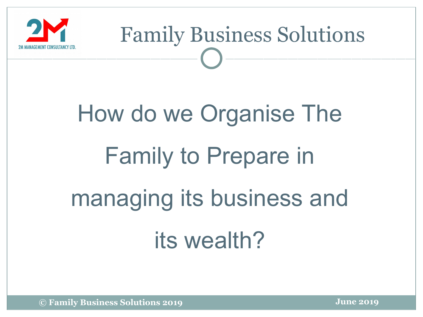

## How do we Organise The Family to Prepare in managing its business and its wealth?

**© Family Business Solutions 2019**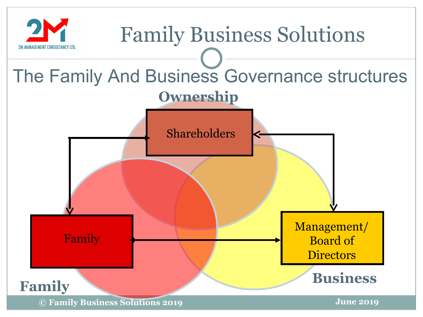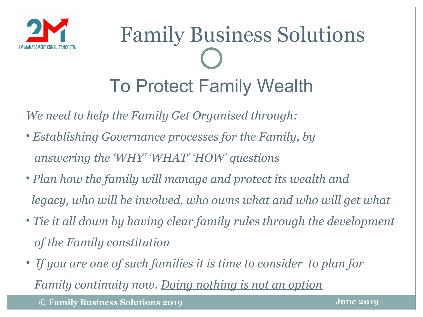

## To Protect Family Wealth Family Business Solutions

*We need to help the Family Get Organised through:*

- *Establishing Governance processes for the Family, by answering the 'WHY' 'WHAT' 'HOW' questions*
- *Plan how the family will manage and protect its wealth and legacy, who will be involved, who owns what and who will get what*
- *Tie it all down by having clear family rules through the development of the Family constitution*
- • *If you are one of such families it is time to consider to plan for Family continuity now. Doing nothing is not an option*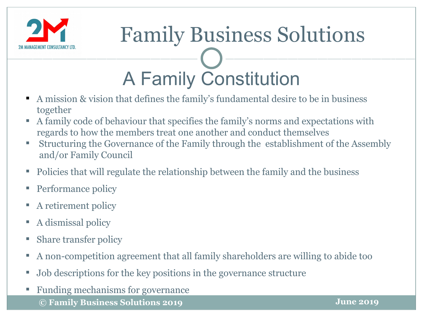

### A Family Constitution Family Business Solutions

- A mission & vision that defines the family's fundamental desire to be in business together
- A family code of behaviour that specifies the family's norms and expectations with regards to how the members treat one another and conduct themselves
- Structuring the Governance of the Family through the establishment of the Assembly and/or Family Council
- Policies that will regulate the relationship between the family and the business
- Performance policy
- A retirement policy
- A dismissal policy
- Share transfer policy
- A non-competition agreement that all family shareholders are willing to abide too
- Job descriptions for the key positions in the governance structure
- Funding mechanisms for governance
	- **© Family Business Solutions 2019**